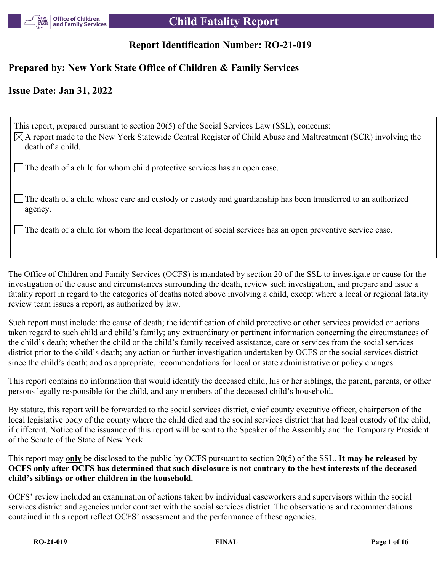

# **Report Identification Number: RO-21-019**

# **Prepared by: New York State Office of Children & Family Services**

# **Issue Date: Jan 31, 2022**

This report, prepared pursuant to section 20(5) of the Social Services Law (SSL), concerns:  $\boxtimes$ A report made to the New York Statewide Central Register of Child Abuse and Maltreatment (SCR) involving the death of a child. The death of a child for whom child protective services has an open case.

The death of a child whose care and custody or custody and guardianship has been transferred to an authorized agency.

The death of a child for whom the local department of social services has an open preventive service case.

The Office of Children and Family Services (OCFS) is mandated by section 20 of the SSL to investigate or cause for the investigation of the cause and circumstances surrounding the death, review such investigation, and prepare and issue a fatality report in regard to the categories of deaths noted above involving a child, except where a local or regional fatality review team issues a report, as authorized by law.

Such report must include: the cause of death; the identification of child protective or other services provided or actions taken regard to such child and child's family; any extraordinary or pertinent information concerning the circumstances of the child's death; whether the child or the child's family received assistance, care or services from the social services district prior to the child's death; any action or further investigation undertaken by OCFS or the social services district since the child's death; and as appropriate, recommendations for local or state administrative or policy changes.

This report contains no information that would identify the deceased child, his or her siblings, the parent, parents, or other persons legally responsible for the child, and any members of the deceased child's household.

By statute, this report will be forwarded to the social services district, chief county executive officer, chairperson of the local legislative body of the county where the child died and the social services district that had legal custody of the child, if different. Notice of the issuance of this report will be sent to the Speaker of the Assembly and the Temporary President of the Senate of the State of New York.

This report may **only** be disclosed to the public by OCFS pursuant to section 20(5) of the SSL. **It may be released by OCFS only after OCFS has determined that such disclosure is not contrary to the best interests of the deceased child's siblings or other children in the household.**

OCFS' review included an examination of actions taken by individual caseworkers and supervisors within the social services district and agencies under contract with the social services district. The observations and recommendations contained in this report reflect OCFS' assessment and the performance of these agencies.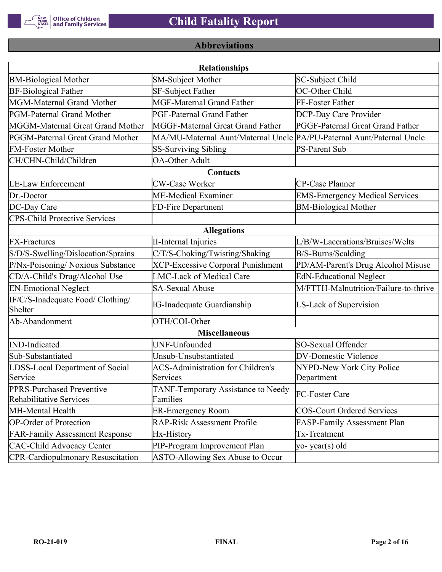

# **Abbreviations**

| <b>Relationships</b>                                 |                                                                       |                                       |  |  |  |
|------------------------------------------------------|-----------------------------------------------------------------------|---------------------------------------|--|--|--|
| <b>BM-Biological Mother</b>                          | SM-Subject Mother                                                     | SC-Subject Child                      |  |  |  |
| <b>BF-Biological Father</b>                          | <b>SF-Subject Father</b>                                              | OC-Other Child                        |  |  |  |
| MGM-Maternal Grand Mother                            | <b>MGF-Maternal Grand Father</b>                                      | FF-Foster Father                      |  |  |  |
| PGM-Paternal Grand Mother                            | PGF-Paternal Grand Father                                             | DCP-Day Care Provider                 |  |  |  |
| MGGM-Maternal Great Grand Mother                     | MGGF-Maternal Great Grand Father                                      | PGGF-Paternal Great Grand Father      |  |  |  |
| PGGM-Paternal Great Grand Mother                     | MA/MU-Maternal Aunt/Maternal Uncle PA/PU-Paternal Aunt/Paternal Uncle |                                       |  |  |  |
| <b>FM-Foster Mother</b>                              | <b>SS-Surviving Sibling</b>                                           | <b>PS-Parent Sub</b>                  |  |  |  |
| CH/CHN-Child/Children                                | <b>OA-Other Adult</b>                                                 |                                       |  |  |  |
|                                                      | Contacts                                                              |                                       |  |  |  |
| <b>LE-Law Enforcement</b>                            | <b>CW-Case Worker</b>                                                 | CP-Case Planner                       |  |  |  |
| Dr.-Doctor                                           | ME-Medical Examiner                                                   | <b>EMS-Emergency Medical Services</b> |  |  |  |
| DC-Day Care                                          | FD-Fire Department                                                    | <b>BM-Biological Mother</b>           |  |  |  |
| <b>CPS-Child Protective Services</b>                 |                                                                       |                                       |  |  |  |
|                                                      | <b>Allegations</b>                                                    |                                       |  |  |  |
| <b>FX-Fractures</b>                                  | <b>II-Internal Injuries</b>                                           | L/B/W-Lacerations/Bruises/Welts       |  |  |  |
| S/D/S-Swelling/Dislocation/Sprains                   | C/T/S-Choking/Twisting/Shaking                                        | B/S-Burns/Scalding                    |  |  |  |
| P/Nx-Poisoning/ Noxious Substance                    | <b>XCP-Excessive Corporal Punishment</b>                              | PD/AM-Parent's Drug Alcohol Misuse    |  |  |  |
| CD/A-Child's Drug/Alcohol Use                        | <b>LMC-Lack of Medical Care</b>                                       | <b>EdN-Educational Neglect</b>        |  |  |  |
| <b>EN-Emotional Neglect</b>                          | <b>SA-Sexual Abuse</b>                                                | M/FTTH-Malnutrition/Failure-to-thrive |  |  |  |
| IF/C/S-Inadequate Food/ Clothing/<br>Shelter         | <b>IG-Inadequate Guardianship</b>                                     | LS-Lack of Supervision                |  |  |  |
| Ab-Abandonment                                       | OTH/COI-Other                                                         |                                       |  |  |  |
|                                                      | <b>Miscellaneous</b>                                                  |                                       |  |  |  |
| <b>IND-Indicated</b>                                 | UNF-Unfounded                                                         | SO-Sexual Offender                    |  |  |  |
| Sub-Substantiated                                    | Unsub-Unsubstantiated                                                 | <b>DV-Domestic Violence</b>           |  |  |  |
| LDSS-Local Department of Social                      | <b>ACS-Administration for Children's</b>                              | NYPD-New York City Police             |  |  |  |
| Service                                              | Services                                                              | Department                            |  |  |  |
| PPRS-Purchased Preventive<br>Rehabilitative Services | TANF-Temporary Assistance to Needy<br>Families                        | FC-Foster Care                        |  |  |  |
| MH-Mental Health                                     | <b>ER-Emergency Room</b>                                              | <b>COS-Court Ordered Services</b>     |  |  |  |
| <b>OP-Order of Protection</b>                        | <b>RAP-Risk Assessment Profile</b>                                    | FASP-Family Assessment Plan           |  |  |  |
| <b>FAR-Family Assessment Response</b>                | Hx-History                                                            | Tx-Treatment                          |  |  |  |
| <b>CAC-Child Advocacy Center</b>                     | PIP-Program Improvement Plan                                          | yo-year(s) old                        |  |  |  |
| <b>CPR-Cardiopulmonary Resuscitation</b>             | ASTO-Allowing Sex Abuse to Occur                                      |                                       |  |  |  |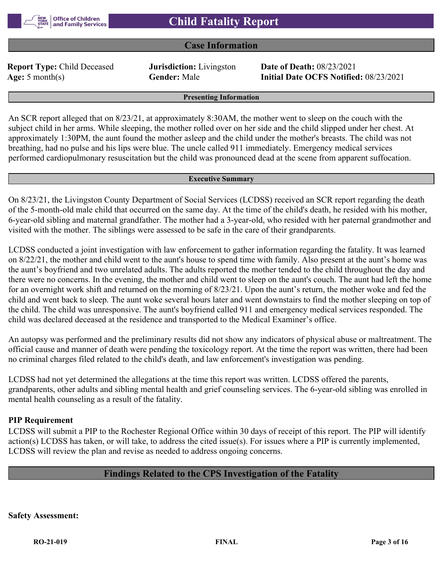

# **Case Information**

**Report Type:** Child Deceased **Jurisdiction:** Livingston **Date of Death:** 08/23/2021

**Age:** 5 month(s) **Gender:** Male **Initial Date OCFS Notified:** 08/23/2021

**Presenting Information**

An SCR report alleged that on 8/23/21, at approximately 8:30AM, the mother went to sleep on the couch with the subject child in her arms. While sleeping, the mother rolled over on her side and the child slipped under her chest. At approximately 1:30PM, the aunt found the mother asleep and the child under the mother's breasts. The child was not breathing, had no pulse and his lips were blue. The uncle called 911 immediately. Emergency medical services performed cardiopulmonary resuscitation but the child was pronounced dead at the scene from apparent suffocation.

#### **Executive Summary**

On 8/23/21, the Livingston County Department of Social Services (LCDSS) received an SCR report regarding the death of the 5-month-old male child that occurred on the same day. At the time of the child's death, he resided with his mother, 6-year-old sibling and maternal grandfather. The mother had a 3-year-old, who resided with her paternal grandmother and visited with the mother. The siblings were assessed to be safe in the care of their grandparents.

LCDSS conducted a joint investigation with law enforcement to gather information regarding the fatality. It was learned on 8/22/21, the mother and child went to the aunt's house to spend time with family. Also present at the aunt's home was the aunt's boyfriend and two unrelated adults. The adults reported the mother tended to the child throughout the day and there were no concerns. In the evening, the mother and child went to sleep on the aunt's couch. The aunt had left the home for an overnight work shift and returned on the morning of 8/23/21. Upon the aunt's return, the mother woke and fed the child and went back to sleep. The aunt woke several hours later and went downstairs to find the mother sleeping on top of the child. The child was unresponsive. The aunt's boyfriend called 911 and emergency medical services responded. The child was declared deceased at the residence and transported to the Medical Examiner's office.

An autopsy was performed and the preliminary results did not show any indicators of physical abuse or maltreatment. The official cause and manner of death were pending the toxicology report. At the time the report was written, there had been no criminal charges filed related to the child's death, and law enforcement's investigation was pending.

LCDSS had not yet determined the allegations at the time this report was written. LCDSS offered the parents, grandparents, other adults and sibling mental health and grief counseling services. The 6-year-old sibling was enrolled in mental health counseling as a result of the fatality.

# **PIP Requirement**

LCDSS will submit a PIP to the Rochester Regional Office within 30 days of receipt of this report. The PIP will identify action(s) LCDSS has taken, or will take, to address the cited issue(s). For issues where a PIP is currently implemented, LCDSS will review the plan and revise as needed to address ongoing concerns.

# **Findings Related to the CPS Investigation of the Fatality**

**Safety Assessment:**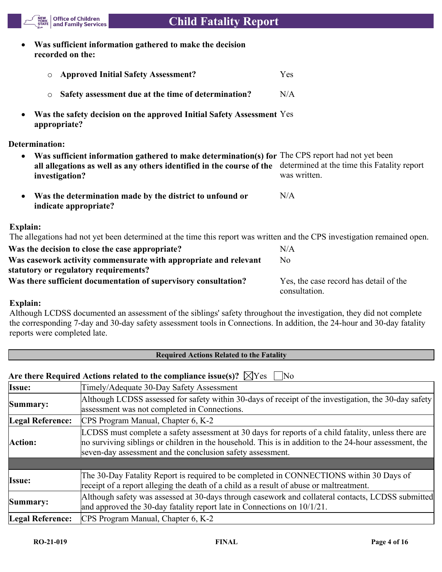- **Was sufficient information gathered to make the decision recorded on the:**
	- o **Approved Initial Safety Assessment?** Yes o **Safety assessment due at the time of determination?** N/A
- **Was the safety decision on the approved Initial Safety Assessment**  Yes **appropriate?**

### **Determination:**

NEW<br>YORK<br>STATE

| $\bullet$ | Was sufficient information gathered to make determination(s) for The CPS report had not yet been                                    |              |
|-----------|-------------------------------------------------------------------------------------------------------------------------------------|--------------|
|           | all allegations as well as any others identified in the course of the determined at the time this Fatality report<br>investigation? | was written. |
| $\bullet$ | Was the determination made by the district to unfound or                                                                            | N/A          |

**Office of Children<br>and Family Services** 

### **Explain:**

The allegations had not yet been determined at the time this report was written and the CPS investigation remained open.

| Was the decision to close the case appropriate?                  | N/A                                    |
|------------------------------------------------------------------|----------------------------------------|
| Was casework activity commensurate with appropriate and relevant | No.                                    |
| statutory or regulatory requirements?                            |                                        |
| Was there sufficient documentation of supervisory consultation?  | Yes, the case record has detail of the |
|                                                                  | consultation.                          |

# **Explain:**

Although LCDSS documented an assessment of the siblings' safety throughout the investigation, they did not complete the corresponding 7-day and 30-day safety assessment tools in Connections. In addition, the 24-hour and 30-day fatality reports were completed late.

| <b>Required Actions Related to the Fatality</b>                                                          |                                                                                                                                                                                                                                                                              |  |  |  |
|----------------------------------------------------------------------------------------------------------|------------------------------------------------------------------------------------------------------------------------------------------------------------------------------------------------------------------------------------------------------------------------------|--|--|--|
| Are there Required Actions related to the compliance issue(s)? $\boxtimes$ Yes<br>$\overline{\text{No}}$ |                                                                                                                                                                                                                                                                              |  |  |  |
| Issue:                                                                                                   | Timely/Adequate 30-Day Safety Assessment                                                                                                                                                                                                                                     |  |  |  |
| Summary:                                                                                                 | Although LCDSS assessed for safety within 30-days of receipt of the investigation, the 30-day safety<br>assessment was not completed in Connections.                                                                                                                         |  |  |  |
| Legal Reference:                                                                                         | CPS Program Manual, Chapter 6, K-2                                                                                                                                                                                                                                           |  |  |  |
| Action:                                                                                                  | LCDSS must complete a safety assessment at 30 days for reports of a child fatality, unless there are<br>no surviving siblings or children in the household. This is in addition to the 24-hour assessment, the<br>seven-day assessment and the conclusion safety assessment. |  |  |  |
|                                                                                                          |                                                                                                                                                                                                                                                                              |  |  |  |
| <b>Issue:</b>                                                                                            | The 30-Day Fatality Report is required to be completed in CONNECTIONS within 30 Days of<br>receipt of a report alleging the death of a child as a result of abuse or maltreatment.                                                                                           |  |  |  |
| Summary:                                                                                                 | Although safety was assessed at 30-days through casework and collateral contacts, LCDSS submitted<br>and approved the 30-day fatality report late in Connections on $10/1/21$ .                                                                                              |  |  |  |
| Legal Reference:                                                                                         | CPS Program Manual, Chapter 6, K-2                                                                                                                                                                                                                                           |  |  |  |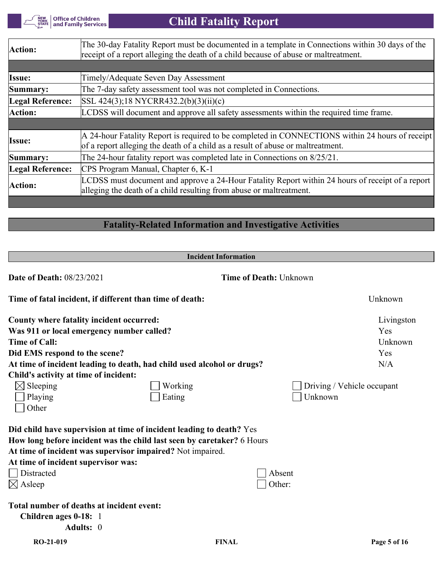| Office of Children<br>| and Family Services NEW<br>YORK<br>STATE

# **Child Fatality Report**

| Action:                 | The 30-day Fatality Report must be documented in a template in Connections within 30 days of the<br>receipt of a report alleging the death of a child because of abuse or maltreatment. |
|-------------------------|-----------------------------------------------------------------------------------------------------------------------------------------------------------------------------------------|
|                         |                                                                                                                                                                                         |
| Issue:                  | Timely/Adequate Seven Day Assessment                                                                                                                                                    |
| Summary:                | The 7-day safety assessment tool was not completed in Connections.                                                                                                                      |
| Legal Reference:        | $ SSL 424(3); 18 NYCRR432.2(b)(3)(ii)(c)$                                                                                                                                               |
| Action:                 | LCDSS will document and approve all safety assessments within the required time frame.                                                                                                  |
|                         |                                                                                                                                                                                         |
| <b>Issue:</b>           | A 24-hour Fatality Report is required to be completed in CONNECTIONS within 24 hours of receipt<br>of a report alleging the death of a child as a result of abuse or maltreatment.      |
| Summary:                | The 24-hour fatality report was completed late in Connections on 8/25/21.                                                                                                               |
| <b>Legal Reference:</b> | CPS Program Manual, Chapter 6, K-1                                                                                                                                                      |
| Action:                 | LCDSS must document and approve a 24-Hour Fatality Report within 24 hours of receipt of a report<br>alleging the death of a child resulting from abuse or maltreatment.                 |
|                         |                                                                                                                                                                                         |

# **Fatality-Related Information and Investigative Activities**

|                                                            | <b>Incident Information</b>                                            |                               |                            |
|------------------------------------------------------------|------------------------------------------------------------------------|-------------------------------|----------------------------|
| <b>Date of Death: 08/23/2021</b>                           |                                                                        | <b>Time of Death: Unknown</b> |                            |
| Time of fatal incident, if different than time of death:   |                                                                        |                               | Unknown                    |
| County where fatality incident occurred:                   |                                                                        |                               | Livingston                 |
| Was 911 or local emergency number called?                  |                                                                        |                               | Yes                        |
| <b>Time of Call:</b>                                       |                                                                        |                               | Unknown                    |
| Did EMS respond to the scene?                              |                                                                        |                               | Yes                        |
|                                                            | At time of incident leading to death, had child used alcohol or drugs? |                               | N/A                        |
| Child's activity at time of incident:                      |                                                                        |                               |                            |
| $\boxtimes$ Sleeping                                       | Working                                                                |                               | Driving / Vehicle occupant |
| Playing                                                    | Eating                                                                 | Unknown                       |                            |
| Other                                                      |                                                                        |                               |                            |
|                                                            | Did child have supervision at time of incident leading to death? Yes   |                               |                            |
|                                                            | How long before incident was the child last seen by caretaker? 6 Hours |                               |                            |
| At time of incident was supervisor impaired? Not impaired. |                                                                        |                               |                            |
| At time of incident supervisor was:                        |                                                                        |                               |                            |
| Distracted                                                 |                                                                        | Absent                        |                            |
| $\boxtimes$ Asleep                                         |                                                                        | Other:                        |                            |
| Total number of deaths at incident event:                  |                                                                        |                               |                            |
| Children ages 0-18: 1                                      |                                                                        |                               |                            |
| Adults: 0                                                  |                                                                        |                               |                            |
| RO-21-019                                                  | <b>FINAL</b>                                                           |                               | Page 5 of 16               |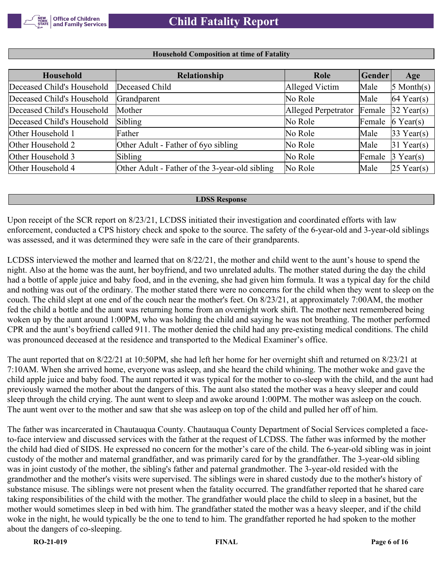

#### **Household Composition at time of Fatality**

| Household                  | Relationship                                   | Role                | $ $ Gender | Age                    |
|----------------------------|------------------------------------------------|---------------------|------------|------------------------|
| Deceased Child's Household | Deceased Child                                 | Alleged Victim      | Male       | $5$ Month(s)           |
| Deceased Child's Household | Grandparent                                    | No Role             | Male       | $ 64 \text{ Year}(s) $ |
| Deceased Child's Household | Mother                                         | Alleged Perpetrator | Female     | $32$ Year(s)           |
| Deceased Child's Household | Sibling                                        | No Role             | Female     | $6$ Year(s)            |
| Other Household 1          | Father                                         | No Role             | Male       | $33$ Year(s)           |
| Other Household 2          | Other Adult - Father of 6yo sibling            | No Role             | Male       | $31$ Year(s)           |
| Other Household 3          | Sibling                                        | No Role             | Female     | $\beta$ Year(s)        |
| Other Household 4          | Other Adult - Father of the 3-year-old sibling | No Role             | Male       | $25$ Year(s)           |

#### **LDSS Response**

Upon receipt of the SCR report on 8/23/21, LCDSS initiated their investigation and coordinated efforts with law enforcement, conducted a CPS history check and spoke to the source. The safety of the 6-year-old and 3-year-old siblings was assessed, and it was determined they were safe in the care of their grandparents.

LCDSS interviewed the mother and learned that on 8/22/21, the mother and child went to the aunt's house to spend the night. Also at the home was the aunt, her boyfriend, and two unrelated adults. The mother stated during the day the child had a bottle of apple juice and baby food, and in the evening, she had given him formula. It was a typical day for the child and nothing was out of the ordinary. The mother stated there were no concerns for the child when they went to sleep on the couch. The child slept at one end of the couch near the mother's feet. On 8/23/21, at approximately 7:00AM, the mother fed the child a bottle and the aunt was returning home from an overnight work shift. The mother next remembered being woken up by the aunt around 1:00PM, who was holding the child and saying he was not breathing. The mother performed CPR and the aunt's boyfriend called 911. The mother denied the child had any pre-existing medical conditions. The child was pronounced deceased at the residence and transported to the Medical Examiner's office.

The aunt reported that on 8/22/21 at 10:50PM, she had left her home for her overnight shift and returned on 8/23/21 at 7:10AM. When she arrived home, everyone was asleep, and she heard the child whining. The mother woke and gave the child apple juice and baby food. The aunt reported it was typical for the mother to co-sleep with the child, and the aunt had previously warned the mother about the dangers of this. The aunt also stated the mother was a heavy sleeper and could sleep through the child crying. The aunt went to sleep and awoke around 1:00PM. The mother was asleep on the couch. The aunt went over to the mother and saw that she was asleep on top of the child and pulled her off of him.

The father was incarcerated in Chautauqua County. Chautauqua County Department of Social Services completed a faceto-face interview and discussed services with the father at the request of LCDSS. The father was informed by the mother the child had died of SIDS. He expressed no concern for the mother's care of the child. The 6-year-old sibling was in joint custody of the mother and maternal grandfather, and was primarily cared for by the grandfather. The 3-year-old sibling was in joint custody of the mother, the sibling's father and paternal grandmother. The 3-year-old resided with the grandmother and the mother's visits were supervised. The siblings were in shared custody due to the mother's history of substance misuse. The siblings were not present when the fatality occurred. The grandfather reported that he shared care taking responsibilities of the child with the mother. The grandfather would place the child to sleep in a basinet, but the mother would sometimes sleep in bed with him. The grandfather stated the mother was a heavy sleeper, and if the child woke in the night, he would typically be the one to tend to him. The grandfather reported he had spoken to the mother about the dangers of co-sleeping.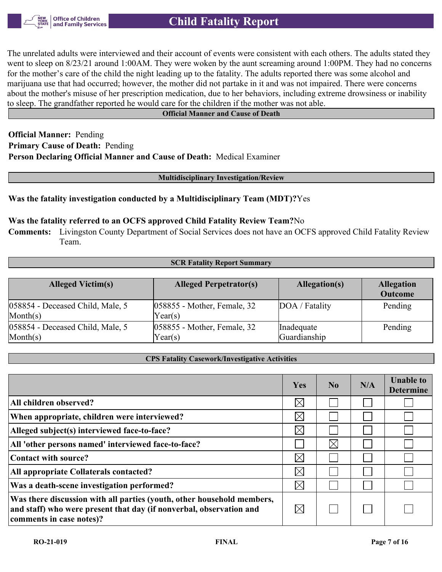

The unrelated adults were interviewed and their account of events were consistent with each others. The adults stated they went to sleep on 8/23/21 around 1:00AM. They were woken by the aunt screaming around 1:00PM. They had no concerns for the mother's care of the child the night leading up to the fatality. The adults reported there was some alcohol and marijuana use that had occurred; however, the mother did not partake in it and was not impaired. There were concerns about the mother's misuse of her prescription medication, due to her behaviors, including extreme drowsiness or inability to sleep. The grandfather reported he would care for the children if the mother was not able.

#### **Official Manner and Cause of Death**

**Official Manner:** Pending **Primary Cause of Death:** Pending **Person Declaring Official Manner and Cause of Death:** Medical Examiner

**Multidisciplinary Investigation/Review**

#### **Was the fatality investigation conducted by a Multidisciplinary Team (MDT)?**Yes

#### **Was the fatality referred to an OCFS approved Child Fatality Review Team?**No

**Comments:** Livingston County Department of Social Services does not have an OCFS approved Child Fatality Review Team.

#### **SCR Fatality Report Summary**

| <b>Alleged Victim(s)</b>                              | <b>Alleged Perpetrator(s)</b>             | Allegation(s)              | <b>Allegation</b><br><b>Outcome</b> |
|-------------------------------------------------------|-------------------------------------------|----------------------------|-------------------------------------|
| 058854 - Deceased Child, Male, 5<br>$\text{Month}(s)$ | $ 058855$ - Mother, Female, 32<br>Year(s) | DOA / Fatality             | Pending                             |
| 058854 - Deceased Child, Male, 5<br>$\text{Month}(s)$ | $ 058855$ - Mother, Female, 32<br>Year(s) | Inadequate<br>Guardianship | Pending                             |

#### **CPS Fatality Casework/Investigative Activities**

|                                                                                                                                                                           | Yes         | No          | N/A | <b>Unable to</b><br><b>Determine</b> |
|---------------------------------------------------------------------------------------------------------------------------------------------------------------------------|-------------|-------------|-----|--------------------------------------|
| All children observed?                                                                                                                                                    | $\boxtimes$ |             |     |                                      |
| When appropriate, children were interviewed?                                                                                                                              | $\boxtimes$ |             |     |                                      |
| Alleged subject(s) interviewed face-to-face?                                                                                                                              | $\boxtimes$ |             |     |                                      |
| All 'other persons named' interviewed face-to-face?                                                                                                                       |             | $\boxtimes$ |     |                                      |
| Contact with source?                                                                                                                                                      | $\boxtimes$ |             |     |                                      |
| All appropriate Collaterals contacted?                                                                                                                                    | $\boxtimes$ |             |     |                                      |
| Was a death-scene investigation performed?                                                                                                                                | $\boxtimes$ |             |     |                                      |
| Was there discussion with all parties (youth, other household members,<br>and staff) who were present that day (if nonverbal, observation and<br>comments in case notes)? | $\boxtimes$ |             |     |                                      |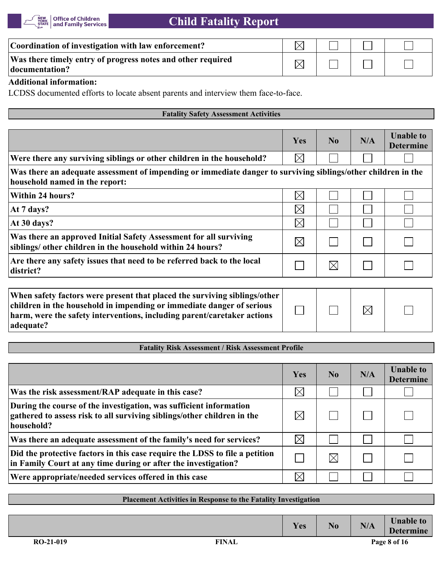

| Coordination of investigation with law enforcement?                           |  |  |
|-------------------------------------------------------------------------------|--|--|
| Was there timely entry of progress notes and other required<br>documentation? |  |  |

#### **Additional information:**

LCDSS documented efforts to locate absent parents and interview them face-to-face.

#### **Fatality Safety Assessment Activities**

|                                                                                                                                                 | Yes         | $\bf No$    | N/A | <b>Unable to</b><br><b>Determine</b> |
|-------------------------------------------------------------------------------------------------------------------------------------------------|-------------|-------------|-----|--------------------------------------|
| Were there any surviving siblings or other children in the household?                                                                           | $\boxtimes$ |             |     |                                      |
| Was there an adequate assessment of impending or immediate danger to surviving siblings/other children in the<br>household named in the report: |             |             |     |                                      |
| Within 24 hours?                                                                                                                                | $\boxtimes$ |             |     |                                      |
| At 7 days?                                                                                                                                      | $\boxtimes$ |             |     |                                      |
| At 30 days?                                                                                                                                     | $\boxtimes$ |             |     |                                      |
| Was there an approved Initial Safety Assessment for all surviving<br>siblings/ other children in the household within 24 hours?                 | $\boxtimes$ |             |     |                                      |
| Are there any safety issues that need to be referred back to the local<br>district?                                                             |             | $\boxtimes$ |     |                                      |
|                                                                                                                                                 |             |             |     |                                      |

| When safety factors were present that placed the surviving siblings/other  <br>children in the household in impending or immediate danger of serious |  | $\boxtimes$ |  |
|------------------------------------------------------------------------------------------------------------------------------------------------------|--|-------------|--|
| harm, were the safety interventions, including parent/caretaker actions<br>adequate?                                                                 |  |             |  |

# **Fatality Risk Assessment / Risk Assessment Profile**

|                                                                                                                                                             | Yes         | No.      | N/A | <b>Unable to</b><br><b>Determine</b> |
|-------------------------------------------------------------------------------------------------------------------------------------------------------------|-------------|----------|-----|--------------------------------------|
| Was the risk assessment/RAP adequate in this case?                                                                                                          | $\boxtimes$ |          |     |                                      |
| During the course of the investigation, was sufficient information<br>gathered to assess risk to all surviving siblings/other children in the<br>household? | $\boxtimes$ |          |     |                                      |
| Was there an adequate assessment of the family's need for services?                                                                                         | $\boxtimes$ |          |     |                                      |
| Did the protective factors in this case require the LDSS to file a petition<br>in Family Court at any time during or after the investigation?               |             | $\times$ |     |                                      |
| Were appropriate/needed services offered in this case                                                                                                       | $\boxtimes$ |          |     |                                      |

# **Placement Activities in Response to the Fatality Investigation**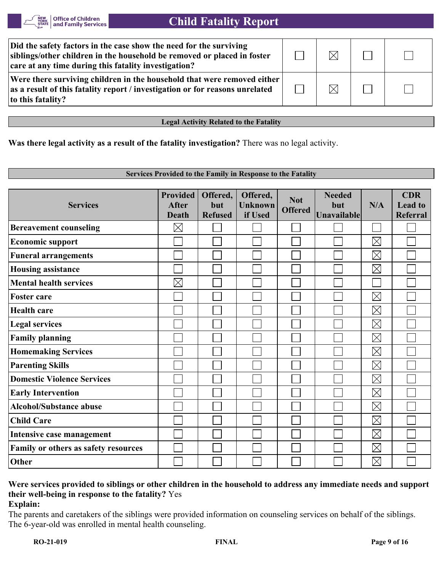| Did the safety factors in the case show the need for the surviving<br>siblings/other children in the household be removed or placed in foster<br>care at any time during this fatality investigation? | M         |  |
|-------------------------------------------------------------------------------------------------------------------------------------------------------------------------------------------------------|-----------|--|
| Were there surviving children in the household that were removed either<br>as a result of this fatality report / investigation or for reasons unrelated<br>to this fatality?                          | $\bowtie$ |  |

**Legal Activity Related to the Fatality**

**Was there legal activity as a result of the fatality investigation?** There was no legal activity.

#### **Services Provided to the Family in Response to the Fatality Provided Offered, CDR Offered, Needed Not N/A Services After but Unknown but Lead to Offered Death Refused if Used Unavailable Referral**  $\boxtimes$ **Bereavement counseling**  $\mathbf{L}$  $\boxtimes$ **Economic support**  $\vert \ \ \vert$  $\Box$  $\boxtimes$ **Funeral arrangements**  $\mathcal{L}_{\mathcal{A}}$  $\vert \ \ \vert$  $\boxtimes$ **Housing assistance**  $\boxtimes$ **Mental health services**  $\boxtimes$  $\Box$ **Foster care**  $\boxtimes$ **Health care**  $\Box$  $\mathbb{R}^n$  $\Box$  $\boxtimes$  $\overline{\phantom{0}}$ **Legal services**  $\sim$  $\boxtimes$ **Family planning**  $\mathcal{L}_{\mathcal{A}}$  $\boxtimes$ **Homemaking Services**  $\boxtimes$ **Parenting Skills**  $\Box$  $\Box$  $\boxtimes$ **Domestic Violence Services**  $\Box$  $\mathcal{L}_{\mathcal{A}}$  $\boxtimes$  $\Box$ **Early Intervention**  $\boxtimes$ **Alcohol/Substance abuse**

# **Were services provided to siblings or other children in the household to address any immediate needs and support their well-being in response to the fatality?** Yes **Explain:**

 $\Box$ 

The parents and caretakers of the siblings were provided information on counseling services on behalf of the siblings. The 6-year-old was enrolled in mental health counseling.

**Intensive case management**

**Family or others as safety resources**

**Child Care**

**Other**

 $\mathbb{R}^n$ 

 $\boxtimes$ 

 $\boxtimes$ 

 $\boxtimes$  $\boxtimes$   $\Box$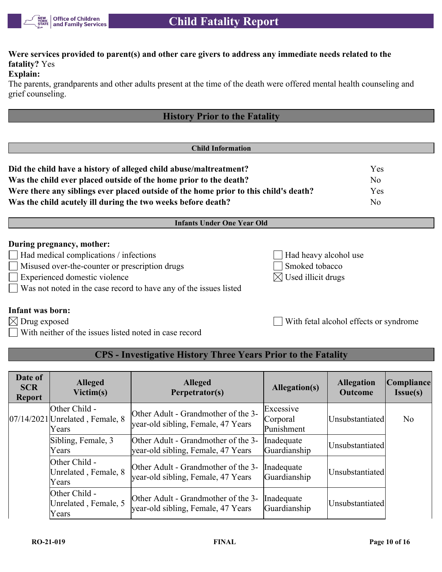

# **Were services provided to parent(s) and other care givers to address any immediate needs related to the fatality?** Yes

### **Explain:**

The parents, grandparents and other adults present at the time of the death were offered mental health counseling and grief counseling.

| <b>History Prior to the Fatality</b>                                                 |                       |                |
|--------------------------------------------------------------------------------------|-----------------------|----------------|
|                                                                                      |                       |                |
| <b>Child Information</b>                                                             |                       |                |
| Did the child have a history of alleged child abuse/maltreatment?                    |                       | Yes            |
| Was the child ever placed outside of the home prior to the death?                    | N <sub>o</sub>        |                |
| Were there any siblings ever placed outside of the home prior to this child's death? | Yes                   |                |
| Was the child acutely ill during the two weeks before death?                         |                       | N <sub>o</sub> |
| <b>Infants Under One Year Old</b>                                                    |                       |                |
| During pregnancy, mother:                                                            |                       |                |
| $\Box$ Had medical complications / infections                                        | Had heavy alcohol use |                |
| Misused over-the-counter or prescription drugs                                       | Smoked tobacco        |                |

- 
- Experienced domestic violence  $\boxtimes$  Used illicit drugs

**Infant was born:**

Was not noted in the case record to have any of the issues listed

With neither of the issues listed noted in case record

 $\boxtimes$  Drug exposed  $\Box$  With fetal alcohol effects or syndrome

# **CPS - Investigative History Three Years Prior to the Fatality**

| Date of<br><b>SCR</b><br><b>Report</b> | <b>Alleged</b><br>Victim(s)                                   | <b>Alleged</b><br>Perpetrator(s)                                          | Allegation(s)                       | <b>Allegation</b><br><b>Outcome</b> | Compliance<br><b>Issue(s)</b> |
|----------------------------------------|---------------------------------------------------------------|---------------------------------------------------------------------------|-------------------------------------|-------------------------------------|-------------------------------|
|                                        | Other Child -<br>$[07/14/2021]$ Unrelated, Female, 8<br>Years | Other Adult - Grandmother of the 3-<br>year-old sibling, Female, 47 Years | Excessive<br>Corporal<br>Punishment | Unsubstantiated                     | N <sub>o</sub>                |
|                                        | Sibling, Female, 3<br>Years                                   | Other Adult - Grandmother of the 3-<br>year-old sibling, Female, 47 Years | Inadequate<br>Guardianship          | Unsubstantiated                     |                               |
|                                        | Other Child -<br>Unrelated, Female, 8<br>Years                | Other Adult - Grandmother of the 3-<br>year-old sibling, Female, 47 Years | Inadequate<br>Guardianship          | Unsubstantiated                     |                               |
|                                        | Other Child -<br>Unrelated, Female, 5<br>Years                | Other Adult - Grandmother of the 3-<br>year-old sibling, Female, 47 Years | Inadequate<br>Guardianship          | Unsubstantiated                     |                               |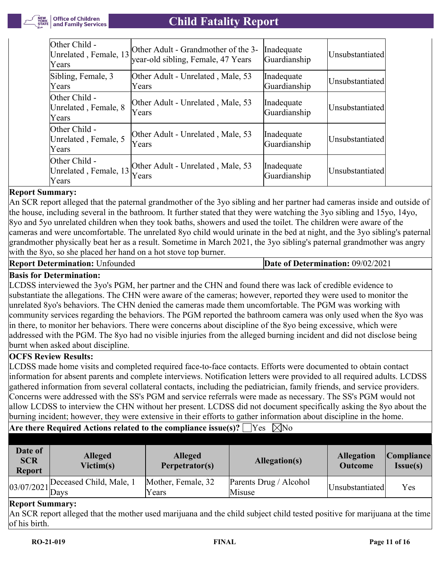

| Other Child -<br>[Unrelated, Female, 13]<br>Years | Other Adult - Grandmother of the 3-<br>year-old sibling, Female, 47 Years | Inadequate<br>Guardianship | Unsubstantiated |
|---------------------------------------------------|---------------------------------------------------------------------------|----------------------------|-----------------|
| Sibling, Female, 3<br>Years                       | Other Adult - Unrelated, Male, 53<br>Years                                | Inadequate<br>Guardianship | Unsubstantiated |
| Other Child -<br>Unrelated, Female, 8<br>Years    | Other Adult - Unrelated, Male, 53<br>Years                                | Inadequate<br>Guardianship | Unsubstantiated |
| Other Child -<br>Unrelated, Female, 5<br>Years    | Other Adult - Unrelated, Male, 53<br><b>Years</b>                         | Inadequate<br>Guardianship | Unsubstantiated |
| Other Child -<br>Unrelated, Female, 13<br>Years   | Other Adult - Unrelated, Male, 53<br>Years                                | Inadequate<br>Guardianship | Unsubstantiated |

# **Report Summary:**

An SCR report alleged that the paternal grandmother of the 3yo sibling and her partner had cameras inside and outside of the house, including several in the bathroom. It further stated that they were watching the 3yo sibling and 15yo, 14yo, 8yo and 5yo unrelated children when they took baths, showers and used the toilet. The children were aware of the cameras and were uncomfortable. The unrelated 8yo child would urinate in the bed at night, and the 3yo sibling's paternal grandmother physically beat her as a result. Sometime in March 2021, the 3yo sibling's paternal grandmother was angry with the 8yo, so she placed her hand on a hot stove top burner.

**Report Determination:** Unfounded **Date of Determination:** 09/02/2021

# **Basis for Determination:**

LCDSS interviewed the 3yo's PGM, her partner and the CHN and found there was lack of credible evidence to substantiate the allegations. The CHN were aware of the cameras; however, reported they were used to monitor the unrelated 8yo's behaviors. The CHN denied the cameras made them uncomfortable. The PGM was working with community services regarding the behaviors. The PGM reported the bathroom camera was only used when the 8yo was in there, to monitor her behaviors. There were concerns about discipline of the 8yo being excessive, which were addressed with the PGM. The 8yo had no visible injuries from the alleged burning incident and did not disclose being burnt when asked about discipline.

# **OCFS Review Results:**

LCDSS made home visits and completed required face-to-face contacts. Efforts were documented to obtain contact information for absent parents and complete interviews. Notification letters were provided to all required adults. LCDSS gathered information from several collateral contacts, including the pediatrician, family friends, and service providers. Concerns were addressed with the SS's PGM and service referrals were made as necessary. The SS's PGM would not allow LCDSS to interview the CHN without her present. LCDSS did not document specifically asking the 8yo about the burning incident; however, they were extensive in their efforts to gather information about discipline in the home.

**Are there Required Actions related to the compliance issue(s)?**  $\Box$  Yes  $\Box$  No

| Date of<br><b>SCR</b><br><b>Report</b> | <b>Alleged</b><br>Victim(s) | <b>Alleged</b><br>Perpetrator(s) | Allegation(s)                    | <b>Allegation</b><br><b>Outcome</b> | Compliance <br><b>Issue(s)</b> |
|----------------------------------------|-----------------------------|----------------------------------|----------------------------------|-------------------------------------|--------------------------------|
|                                        |                             | Mother, Female, 32<br>Years      | Parents Drug / Alcohol<br>Misuse | Unsubstantiated                     | Yes                            |

# **Report Summary:**

An SCR report alleged that the mother used marijuana and the child subject child tested positive for marijuana at the time of his birth.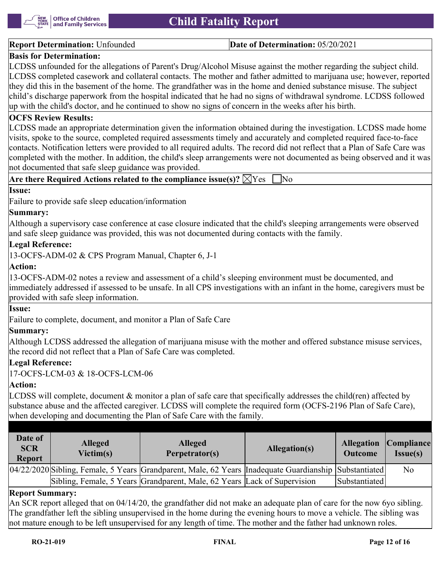

#### **Report Determination:** Unfounded **Date of Determination:** 05/20/2021

### **Basis for Determination:**

LCDSS unfounded for the allegations of Parent's Drug/Alcohol Misuse against the mother regarding the subject child. LCDSS completed casework and collateral contacts. The mother and father admitted to marijuana use; however, reported they did this in the basement of the home. The grandfather was in the home and denied substance misuse. The subject child's discharge paperwork from the hospital indicated that he had no signs of withdrawal syndrome. LCDSS followed up with the child's doctor, and he continued to show no signs of concern in the weeks after his birth.

#### **OCFS Review Results:**

LCDSS made an appropriate determination given the information obtained during the investigation. LCDSS made home visits, spoke to the source, completed required assessments timely and accurately and completed required face-to-face contacts. Notification letters were provided to all required adults. The record did not reflect that a Plan of Safe Care was completed with the mother. In addition, the child's sleep arrangements were not documented as being observed and it was not documented that safe sleep guidance was provided.

|  | Are there Required Actions related to the compliance issue(s)? $\boxtimes$ Yes $\Box$ No |  |  |  |  |  |
|--|------------------------------------------------------------------------------------------|--|--|--|--|--|
|--|------------------------------------------------------------------------------------------|--|--|--|--|--|

### **Issue:**

Failure to provide safe sleep education/information

#### **Summary:**

Although a supervisory case conference at case closure indicated that the child's sleeping arrangements were observed and safe sleep guidance was provided, this was not documented during contacts with the family.

#### **Legal Reference:**

13-OCFS-ADM-02 & CPS Program Manual, Chapter 6, J-1

### **Action:**

13-OCFS-ADM-02 notes a review and assessment of a child's sleeping environment must be documented, and immediately addressed if assessed to be unsafe. In all CPS investigations with an infant in the home, caregivers must be provided with safe sleep information.

#### **Issue:**

Failure to complete, document, and monitor a Plan of Safe Care

#### **Summary:**

Although LCDSS addressed the allegation of marijuana misuse with the mother and offered substance misuse services, the record did not reflect that a Plan of Safe Care was completed.

#### **Legal Reference:**

17-OCFS-LCM-03 & 18-OCFS-LCM-06

#### **Action:**

LCDSS will complete, document  $\&$  monitor a plan of safe care that specifically addresses the child(ren) affected by substance abuse and the affected caregiver. LCDSS will complete the required form (OCFS-2196 Plan of Safe Care), when developing and documenting the Plan of Safe Care with the family.

| Date of<br><b>SCR</b><br><b>Report</b> | <b>Alleged</b><br>Victim(s) | <b>Alleged</b><br>Perpetrator(s)                                                                         | Allegation(s) | <b>Outcome</b> | <b>Allegation Compliance</b><br>Issue(s) |
|----------------------------------------|-----------------------------|----------------------------------------------------------------------------------------------------------|---------------|----------------|------------------------------------------|
|                                        |                             | 04/22/2020 Sibling, Female, 5 Years Grandparent, Male, 62 Years  Inadequate Guardianship   Substantiated |               |                | N <sub>0</sub>                           |
|                                        |                             | Sibling, Female, 5 Years Grandparent, Male, 62 Years Lack of Supervision                                 |               | Substantiated  |                                          |

#### **Report Summary:**

An SCR report alleged that on 04/14/20, the grandfather did not make an adequate plan of care for the now 6yo sibling. The grandfather left the sibling unsupervised in the home during the evening hours to move a vehicle. The sibling was not mature enough to be left unsupervised for any length of time. The mother and the father had unknown roles.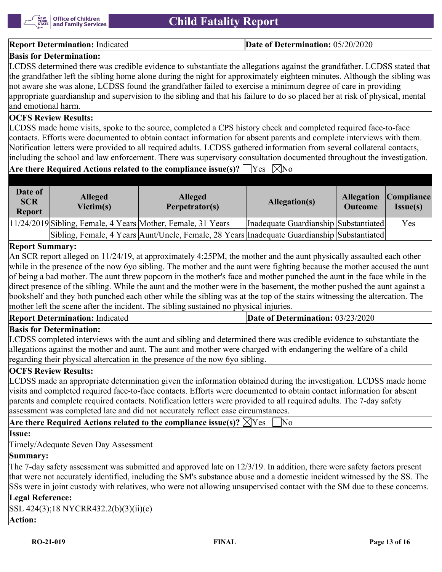

#### **Report Determination:** Indicated **Date of Determination:** 05/20/2020

## **Basis for Determination:**

LCDSS determined there was credible evidence to substantiate the allegations against the grandfather. LCDSS stated that the grandfather left the sibling home alone during the night for approximately eighteen minutes. Although the sibling was not aware she was alone, LCDSS found the grandfather failed to exercise a minimum degree of care in providing appropriate guardianship and supervision to the sibling and that his failure to do so placed her at risk of physical, mental and emotional harm.

# **OCFS Review Results:**

LCDSS made home visits, spoke to the source, completed a CPS history check and completed required face-to-face contacts. Efforts were documented to obtain contact information for absent parents and complete interviews with them. Notification letters were provided to all required adults. LCDSS gathered information from several collateral contacts, including the school and law enforcement. There was supervisory consultation documented throughout the investigation.

# **Are there Required Actions related to the compliance issue(s)?**  $\Box$  Yes  $\Box$  No

| Date of<br><b>SCR</b><br><b>Report</b> | <b>Alleged</b><br>Victim(s) | <b>Alleged</b><br>Perpetrator(s)                                                            | Allegation(s)                         |  | <b>Allegation Compliance</b><br>Issue(s) |
|----------------------------------------|-----------------------------|---------------------------------------------------------------------------------------------|---------------------------------------|--|------------------------------------------|
|                                        |                             | 11/24/2019 Sibling, Female, 4 Years Mother, Female, 31 Years                                | Inadequate Guardianship Substantiated |  | Yes                                      |
|                                        |                             | Sibling, Female, 4 Years Aunt/Uncle, Female, 28 Years Inadequate Guardianship Substantiated |                                       |  |                                          |

#### **Report Summary:**

An SCR report alleged on 11/24/19, at approximately 4:25PM, the mother and the aunt physically assaulted each other while in the presence of the now 6yo sibling. The mother and the aunt were fighting because the mother accused the aunt of being a bad mother. The aunt threw popcorn in the mother's face and mother punched the aunt in the face while in the direct presence of the sibling. While the aunt and the mother were in the basement, the mother pushed the aunt against a bookshelf and they both punched each other while the sibling was at the top of the stairs witnessing the altercation. The mother left the scene after the incident. The sibling sustained no physical injuries.

| <b>Report Determination: Indicated</b> | <b>Date of Determination: 03/23/2020</b> |
|----------------------------------------|------------------------------------------|
| lm.<br>$\mathbf{R}$                    |                                          |

#### **Basis for Determination:**

LCDSS completed interviews with the aunt and sibling and determined there was credible evidence to substantiate the allegations against the mother and aunt. The aunt and mother were charged with endangering the welfare of a child regarding their physical altercation in the presence of the now 6yo sibling.

#### **OCFS Review Results:**

LCDSS made an appropriate determination given the information obtained during the investigation. LCDSS made home visits and completed required face-to-face contacts. Efforts were documented to obtain contact information for absent parents and complete required contacts. Notification letters were provided to all required adults. The 7-day safety assessment was completed late and did not accurately reflect case circumstances.

**Are there Required Actions related to the compliance issue(s)?**  $\boxtimes$  Yes  $\Box$  No

#### **Issue:**

Timely/Adequate Seven Day Assessment

# **Summary:**

The 7-day safety assessment was submitted and approved late on 12/3/19. In addition, there were safety factors present that were not accurately identified, including the SM's substance abuse and a domestic incident witnessed by the SS. The SSs were in joint custody with relatives, who were not allowing unsupervised contact with the SM due to these concerns.

# **Legal Reference:**

| SSL 424(3);18 NYCRR432.2(b)(3)(ii)(c) |  |
|---------------------------------------|--|
| <b>Action:</b>                        |  |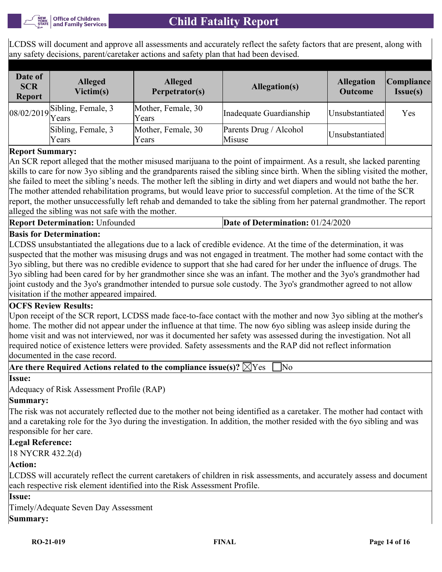LCDSS will document and approve all assessments and accurately reflect the safety factors that are present, along with any safety decisions, parent/caretaker actions and safety plan that had been devised.

| Date of<br><b>SCR</b><br><b>Report</b> | <b>Alleged</b><br>Victim(s)                                                      | <b>Alleged</b><br>Perpetrator(s) | Allegation(s)                    | <b>Allegation</b><br><b>Outcome</b> | Compliance <br><b>Issue(s)</b> |
|----------------------------------------|----------------------------------------------------------------------------------|----------------------------------|----------------------------------|-------------------------------------|--------------------------------|
|                                        | $\begin{bmatrix} 08/02/2019 \\ \text{Years} \end{bmatrix}$<br>Sibling, Female, 3 | Mother, Female, 30<br>Years      | Inadequate Guardianship          | Unsubstantiated                     | Yes                            |
|                                        | Sibling, Female, 3<br>Years                                                      | Mother, Female, 30<br>Years      | Parents Drug / Alcohol<br>Misuse | Unsubstantiated                     |                                |

# **Report Summary:**

An SCR report alleged that the mother misused marijuana to the point of impairment. As a result, she lacked parenting skills to care for now 3yo sibling and the grandparents raised the sibling since birth. When the sibling visited the mother, she failed to meet the sibling's needs. The mother left the sibling in dirty and wet diapers and would not bathe the her. The mother attended rehabilitation programs, but would leave prior to successful completion. At the time of the SCR report, the mother unsuccessfully left rehab and demanded to take the sibling from her paternal grandmother. The report alleged the sibling was not safe with the mother.

**Report Determination:** Unfounded **Date of Determination:** 01/24/2020

# **Basis for Determination:**

LCDSS unsubstantiated the allegations due to a lack of credible evidence. At the time of the determination, it was suspected that the mother was misusing drugs and was not engaged in treatment. The mother had some contact with the 3yo sibling, but there was no credible evidence to support that she had cared for her under the influence of drugs. The 3yo sibling had been cared for by her grandmother since she was an infant. The mother and the 3yo's grandmother had joint custody and the 3yo's grandmother intended to pursue sole custody. The 3yo's grandmother agreed to not allow visitation if the mother appeared impaired.

# **OCFS Review Results:**

Upon receipt of the SCR report, LCDSS made face-to-face contact with the mother and now 3yo sibling at the mother's home. The mother did not appear under the influence at that time. The now 6yo sibling was asleep inside during the home visit and was not interviewed, nor was it documented her safety was assessed during the investigation. Not all required notice of existence letters were provided. Safety assessments and the RAP did not reflect information documented in the case record.

### **Are there Required Actions related to the compliance issue(s)?**  $\boxtimes$  Yes  $\Box$  No

#### **Issue:**

Adequacy of Risk Assessment Profile (RAP)

#### **Summary:**

The risk was not accurately reflected due to the mother not being identified as a caretaker. The mother had contact with and a caretaking role for the 3yo during the investigation. In addition, the mother resided with the 6yo sibling and was responsible for her care.

#### **Legal Reference:**

18 NYCRR 432.2(d)

#### **Action:**

LCDSS will accurately reflect the current caretakers of children in risk assessments, and accurately assess and document each respective risk element identified into the Risk Assessment Profile.

#### **Issue:**

Timely/Adequate Seven Day Assessment

# **Summary:**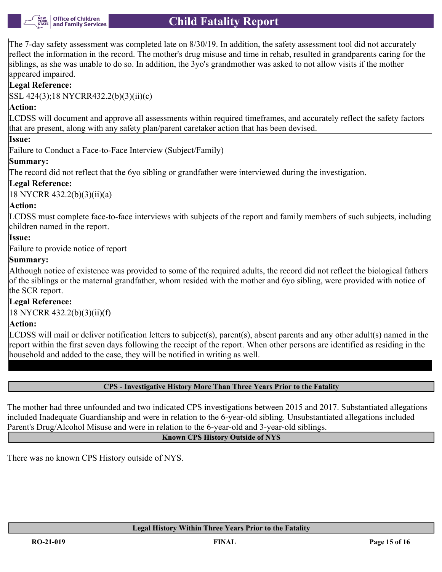

The 7-day safety assessment was completed late on 8/30/19. In addition, the safety assessment tool did not accurately reflect the information in the record. The mother's drug misuse and time in rehab, resulted in grandparents caring for the siblings, as she was unable to do so. In addition, the 3yo's grandmother was asked to not allow visits if the mother appeared impaired.

# **Legal Reference:**

SSL 424(3);18 NYCRR432.2(b)(3)(ii)(c)

# **Action:**

LCDSS will document and approve all assessments within required timeframes, and accurately reflect the safety factors that are present, along with any safety plan/parent caretaker action that has been devised.

### **Issue:**

Failure to Conduct a Face-to-Face Interview (Subject/Family)

# **Summary:**

The record did not reflect that the 6yo sibling or grandfather were interviewed during the investigation.

# **Legal Reference:**

18 NYCRR 432.2(b)(3)(ii)(a)

# **Action:**

LCDSS must complete face-to-face interviews with subjects of the report and family members of such subjects, including children named in the report.

# **Issue:**

Failure to provide notice of report

# **Summary:**

Although notice of existence was provided to some of the required adults, the record did not reflect the biological fathers of the siblings or the maternal grandfather, whom resided with the mother and 6yo sibling, were provided with notice of the SCR report.

# **Legal Reference:**

18 NYCRR 432.2(b)(3)(ii)(f)

# **Action:**

LCDSS will mail or deliver notification letters to subject(s), parent(s), absent parents and any other adult(s) named in the report within the first seven days following the receipt of the report. When other persons are identified as residing in the household and added to the case, they will be notified in writing as well.

#### **CPS - Investigative History More Than Three Years Prior to the Fatality**

The mother had three unfounded and two indicated CPS investigations between 2015 and 2017. Substantiated allegations included Inadequate Guardianship and were in relation to the 6-year-old sibling. Unsubstantiated allegations included Parent's Drug/Alcohol Misuse and were in relation to the 6-year-old and 3-year-old siblings.

#### **Known CPS History Outside of NYS**

There was no known CPS History outside of NYS.